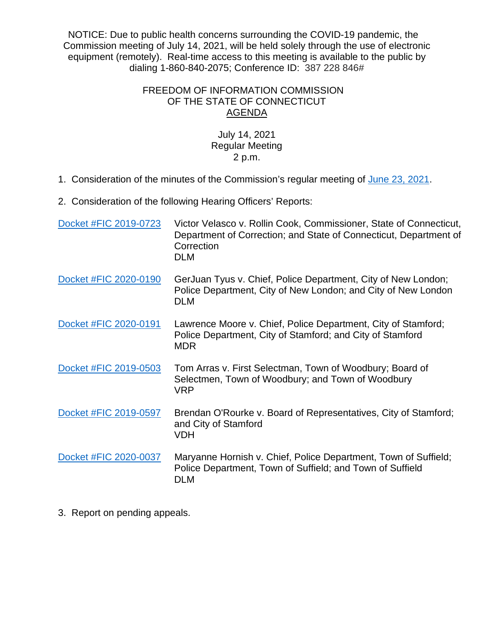NOTICE: Due to public health concerns surrounding the COVID-19 pandemic, the Commission meeting of July 14, 2021, will be held solely through the use of electronic equipment (remotely). Real-time access to this meeting is available to the public by dialing 1-860-840-2075; Conference ID: 387 228 846#

## FREEDOM OF INFORMATION COMMISSION OF THE STATE OF CONNECTICUT AGENDA

## July 14, 2021 Regular Meeting 2 p.m.

1. Consideration of the minutes of the Commission's regular meeting of [June 23, 2021.](https://portal.ct.gov/-/media/FOI/Minutes/2021/Minutes-6-23-21.pdf)

2. Consideration of the following Hearing Officers' Reports:

| Docket #FIC 2019-0723 | Victor Velasco v. Rollin Cook, Commissioner, State of Connecticut,<br>Department of Correction; and State of Connecticut, Department of<br>Correction<br><b>DLM</b> |
|-----------------------|---------------------------------------------------------------------------------------------------------------------------------------------------------------------|
| Docket #FIC 2020-0190 | GerJuan Tyus v. Chief, Police Department, City of New London;<br>Police Department, City of New London; and City of New London<br><b>DLM</b>                        |
| Docket #FIC 2020-0191 | Lawrence Moore v. Chief, Police Department, City of Stamford;<br>Police Department, City of Stamford; and City of Stamford<br><b>MDR</b>                            |
| Docket #FIC 2019-0503 | Tom Arras v. First Selectman, Town of Woodbury; Board of<br>Selectmen, Town of Woodbury; and Town of Woodbury<br><b>VRP</b>                                         |
| Docket #FIC 2019-0597 | Brendan O'Rourke v. Board of Representatives, City of Stamford;<br>and City of Stamford<br>VDH                                                                      |
| Docket #FIC 2020-0037 | Maryanne Hornish v. Chief, Police Department, Town of Suffield;<br>Police Department, Town of Suffield; and Town of Suffield<br>DLM                                 |

3. Report on pending appeals.